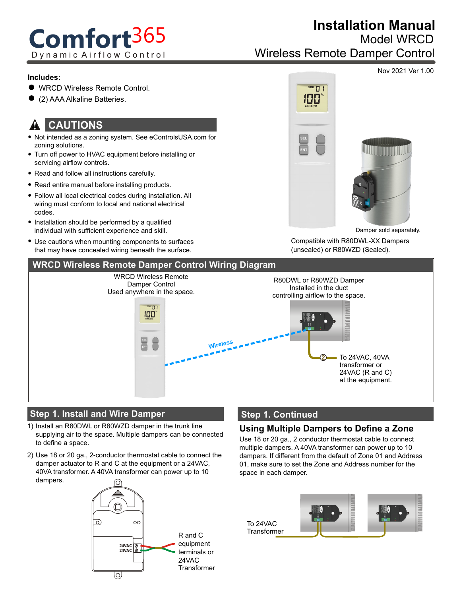# **Comfort**365 Dynamic Airflow Control

# **Installation Manual**

Model WRCD

Wireless Remote Damper Control

#### **Includes:**

- WRCD Wireless Remote Control.
- (2) AAA Alkaline Batteries.

#### **CAUTIONS** !

- Not intended as a zoning system. See eControlsUSA.com for zoning solutions.
- Turn off power to HVAC equipment before installing or servicing airflow controls.
- Read and follow all instructions carefully.
- Read entire manual before installing products.
- Follow all local electrical codes during installation. All wiring must conform to local and national electrical codes.
- Installation should be performed by a qualified individual with sufficient experience and skill.
- Use cautions when mounting components to surfaces that may have concealed wiring beneath the surface.



Damper sold separately.

Compatible with R80DWL-XX Dampers (unsealed) or R80WZD (Sealed).



## **Step 1. Install and Wire Damper**

- 1) Install an R80DWL or R80WZD damper in the trunk line supplying air to the space. Multiple dampers can be connected to define a space.
- Use 18 or 20 ga., 2-conductor thermostat cable to connect the 2) damper actuator to R and C at the equipment or a 24VAC, 40VA transformer. A 40VA transformer can power up to 10 dampers.



## **Step 1. Continued**

#### **Using Multiple Dampers to Define a Zone**

Use 18 or 20 ga., 2 conductor thermostat cable to connect multiple dampers. A 40VA transformer can power up to 10 dampers. If different from the default of Zone 01 and Address 01, make sure to set the Zone and Address number for the space in each damper.